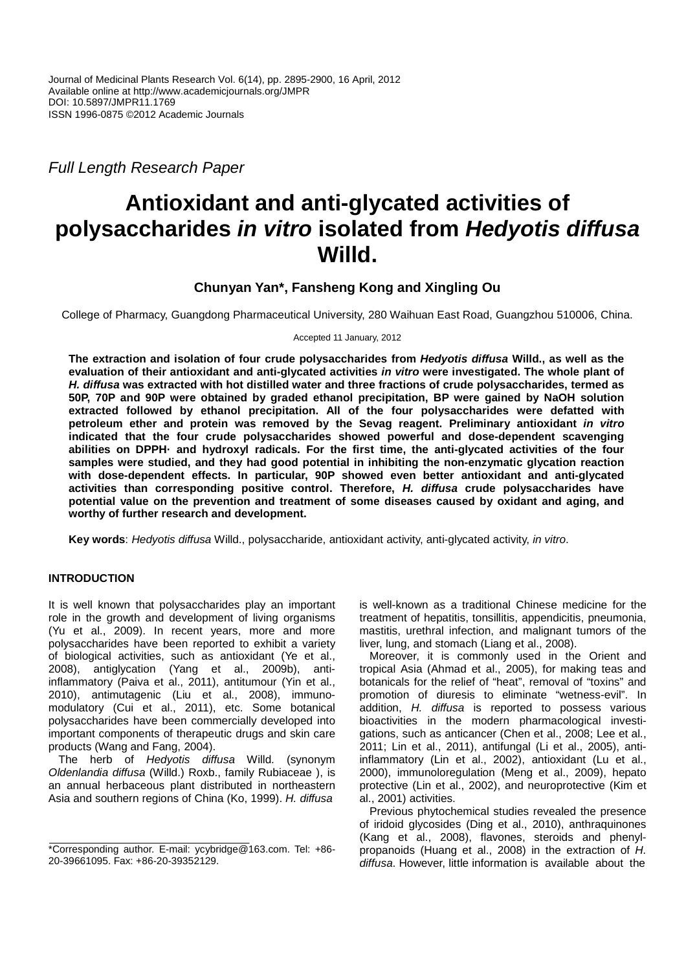Full Length Research Paper

# **Antioxidant and anti-glycated activities of polysaccharides in vitro isolated from Hedyotis diffusa Willd.**

## **Chunyan Yan\*, Fansheng Kong and Xingling Ou**

College of Pharmacy, Guangdong Pharmaceutical University, 280 Waihuan East Road, Guangzhou 510006, China.

Accepted 11 January, 2012

**The extraction and isolation of four crude polysaccharides from Hedyotis diffusa Willd., as well as the evaluation of their antioxidant and anti-glycated activities in vitro were investigated. The whole plant of H. diffusa was extracted with hot distilled water and three fractions of crude polysaccharides, termed as 50P, 70P and 90P were obtained by graded ethanol precipitation, BP were gained by NaOH solution extracted followed by ethanol precipitation. All of the four polysaccharides were defatted with petroleum ether and protein was removed by the Sevag reagent. Preliminary antioxidant in vitro indicated that the four crude polysaccharides showed powerful and dose-dependent scavenging abilities on DPPH· and hydroxyl radicals. For the first time, the anti-glycated activities of the four samples were studied, and they had good potential in inhibiting the non-enzymatic glycation reaction with dose-dependent effects. In particular, 90P showed even better antioxidant and anti-glycated activities than corresponding positive control. Therefore, H. diffusa crude polysaccharides have potential value on the prevention and treatment of some diseases caused by oxidant and aging, and worthy of further research and development.** 

**Key words**: Hedyotis diffusa Willd., polysaccharide, antioxidant activity, anti-glycated activity, in vitro.

## **INTRODUCTION**

It is well known that polysaccharides play an important role in the growth and development of living organisms (Yu et al., 2009). In recent years, more and more polysaccharides have been reported to exhibit a variety of biological activities, such as antioxidant (Ye et al., 2008), antiglycation (Yang et al., 2009b), antiinflammatory (Paiva et al., 2011), antitumour (Yin et al., 2010), antimutagenic (Liu et al., 2008), immunomodulatory (Cui et al., 2011), etc. Some botanical polysaccharides have been commercially developed into important components of therapeutic drugs and skin care products (Wang and Fang, 2004).

The herb of Hedyotis diffusa Willd. (synonym Oldenlandia diffusa (Willd.) Roxb., family Rubiaceae ), is an annual herbaceous plant distributed in northeastern Asia and southern regions of China (Ko, 1999). H. diffusa

is well-known as a traditional Chinese medicine for the treatment of hepatitis, tonsillitis, appendicitis, pneumonia, mastitis, urethral infection, and malignant tumors of the liver, lung, and stomach (Liang et al., 2008).

Moreover, it is commonly used in the Orient and tropical Asia (Ahmad et al., 2005), for making teas and botanicals for the relief of "heat", removal of "toxins" and promotion of diuresis to eliminate "wetness-evil". In addition, H. diffusa is reported to possess various bioactivities in the modern pharmacological investigations, such as anticancer (Chen et al., 2008; Lee et al., 2011; Lin et al., 2011), antifungal (Li et al., 2005), antiinflammatory (Lin et al., 2002), antioxidant (Lu et al., 2000), immunoloregulation (Meng et al., 2009), hepato protective (Lin et al., 2002), and neuroprotective (Kim et al., 2001) activities.

Previous phytochemical studies revealed the presence of iridoid glycosides (Ding et al., 2010), anthraquinones (Kang et al., 2008), flavones, steroids and phenylpropanoids (Huang et al., 2008) in the extraction of H. diffusa. However, little information is available about the

<sup>\*</sup>Corresponding author. E-mail: ycybridge@163.com. Tel: +86- 20-39661095. Fax: +86-20-39352129.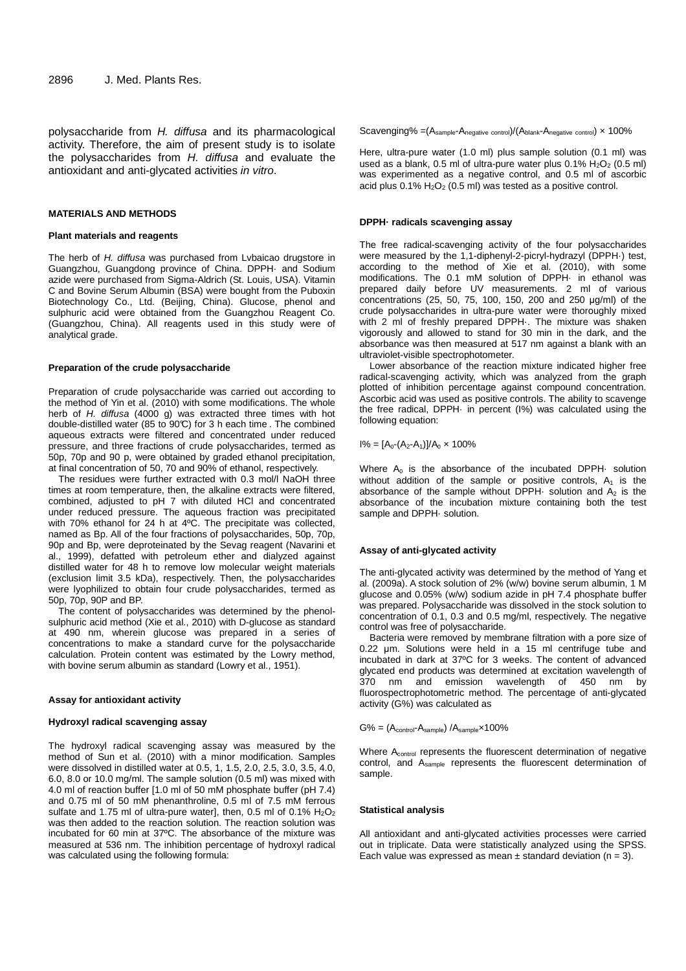polysaccharide from H. diffusa and its pharmacological activity. Therefore, the aim of present study is to isolate the polysaccharides from H. diffusa and evaluate the antioxidant and anti-glycated activities in vitro.

#### **MATERIALS AND METHODS**

#### **Plant materials and reagents**

The herb of H. diffusa was purchased from Lvbaicao drugstore in Guangzhou, Guangdong province of China. DPPH· and Sodium azide were purchased from Sigma-Aldrich (St. Louis, USA). Vitamin C and Bovine Serum Albumin (BSA) were bought from the Puboxin Biotechnology Co., Ltd. (Beijing, China). Glucose, phenol and sulphuric acid were obtained from the Guangzhou Reagent Co. (Guangzhou, China). All reagents used in this study were of analytical grade.

#### **Preparation of the crude polysaccharide**

Preparation of crude polysaccharide was carried out according to the method of Yin et al. (2010) with some modifications. The whole herb of H. diffusa (4000 g) was extracted three times with hot double-distilled water (85 to 90°C) for 3 h each time . The combined aqueous extracts were filtered and concentrated under reduced pressure, and three fractions of crude polysaccharides, termed as 50p, 70p and 90 p, were obtained by graded ethanol precipitation, at final concentration of 50, 70 and 90% of ethanol, respectively.

The residues were further extracted with 0.3 mol/l NaOH three times at room temperature, then, the alkaline extracts were filtered, combined, adjusted to pH 7 with diluted HCl and concentrated under reduced pressure. The aqueous fraction was precipitated with 70% ethanol for 24 h at 4ºC. The precipitate was collected, named as Bp. All of the four fractions of polysaccharides, 50p, 70p, 90p and Bp, were deproteinated by the Sevag reagent (Navarini et al., 1999), defatted with petroleum ether and dialyzed against distilled water for 48 h to remove low molecular weight materials (exclusion limit 3.5 kDa), respectively. Then, the polysaccharides were lyophilized to obtain four crude polysaccharides, termed as 50p, 70p, 90P and BP.

The content of polysaccharides was determined by the phenolsulphuric acid method (Xie et al., 2010) with D-glucose as standard at 490 nm, wherein glucose was prepared in a series of concentrations to make a standard curve for the polysaccharide calculation. Protein content was estimated by the Lowry method, with bovine serum albumin as standard (Lowry et al., 1951).

#### **Assay for antioxidant activity**

#### **Hydroxyl radical scavenging assay**

The hydroxyl radical scavenging assay was measured by the method of Sun et al. (2010) with a minor modification. Samples were dissolved in distilled water at 0.5, 1, 1.5, 2.0, 2.5, 3.0, 3.5, 4.0, 6.0, 8.0 or 10.0 mg/ml. The sample solution (0.5 ml) was mixed with 4.0 ml of reaction buffer [1.0 ml of 50 mM phosphate buffer (pH 7.4) and 0.75 ml of 50 mM phenanthroline, 0.5 ml of 7.5 mM ferrous sulfate and 1.75 ml of ultra-pure water], then, 0.5 ml of 0.1%  $H_2O_2$ was then added to the reaction solution. The reaction solution was incubated for 60 min at 37ºC. The absorbance of the mixture was measured at 536 nm. The inhibition percentage of hydroxyl radical was calculated using the following formula:

Scavenging% =(Asample-Anegative control)/(Ablank-Anegative control) × 100%

Here, ultra-pure water (1.0 ml) plus sample solution (0.1 ml) was used as a blank,  $0.5$  ml of ultra-pure water plus  $0.1\%$  H<sub>2</sub>O<sub>2</sub> ( $0.5$  ml) was experimented as a negative control, and 0.5 ml of ascorbic acid plus  $0.1\%$  H<sub>2</sub>O<sub>2</sub> (0.5 ml) was tested as a positive control.

#### **DPPH· radicals scavenging assay**

The free radical-scavenging activity of the four polysaccharides were measured by the 1,1-diphenyl-2-picryl-hydrazyl (DPPH·) test, according to the method of Xie et al. (2010), with some modifications. The 0.1 mM solution of DPPH· in ethanol was prepared daily before UV measurements. 2 ml of various concentrations (25, 50, 75, 100, 150, 200 and 250 µg/ml) of the crude polysaccharides in ultra-pure water were thoroughly mixed with 2 ml of freshly prepared DPPH·. The mixture was shaken vigorously and allowed to stand for 30 min in the dark, and the absorbance was then measured at 517 nm against a blank with an ultraviolet-visible spectrophotometer.

Lower absorbance of the reaction mixture indicated higher free radical-scavenging activity, which was analyzed from the graph plotted of inhibition percentage against compound concentration. Ascorbic acid was used as positive controls. The ability to scavenge the free radical, DPPH· in percent (I%) was calculated using the following equation:

 $I% = [A_0-(A_2-A_1)]/A_0 \times 100%$ 

Where  $A_0$  is the absorbance of the incubated DPPH $\cdot$  solution without addition of the sample or positive controls,  $A_1$  is the absorbance of the sample without DPPH $\cdot$  solution and  $A_2$  is the absorbance of the incubation mixture containing both the test sample and DPPH- solution.

#### **Assay of anti-glycated activity**

The anti-glycated activity was determined by the method of Yang et al. (2009a). A stock solution of 2% (w/w) bovine serum albumin, 1 M glucose and 0.05% (w/w) sodium azide in pH 7.4 phosphate buffer was prepared. Polysaccharide was dissolved in the stock solution to concentration of 0.1, 0.3 and 0.5 mg/ml, respectively. The negative control was free of polysaccharide.

Bacteria were removed by membrane filtration with a pore size of 0.22 µm. Solutions were held in a 15 ml centrifuge tube and incubated in dark at 37ºC for 3 weeks. The content of advanced glycated end products was determined at excitation wavelength of 370 nm and emission wavelength of 450 nm by fluorospectrophotometric method. The percentage of anti-glycated activity (G%) was calculated as

 $G% = (A_{control} - A_{sample}) / A_{sample} \times 100\%$ 

Where A<sub>control</sub> represents the fluorescent determination of negative control, and Asample represents the fluorescent determination of sample.

## **Statistical analysis**

All antioxidant and anti-glycated activities processes were carried out in triplicate. Data were statistically analyzed using the SPSS. Each value was expressed as mean  $\pm$  standard deviation (n = 3).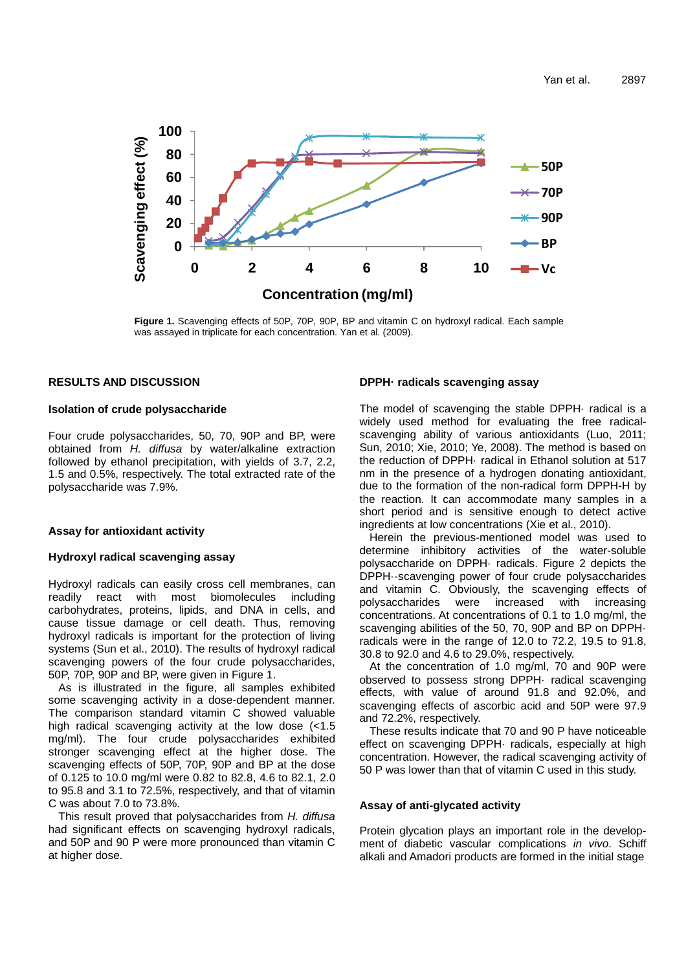

**Figure 1.** Scavenging effects of 50P, 70P, 90P, BP and vitamin C on hydroxyl radical. Each sample was assayed in triplicate for each concentration. Yan et al. (2009).

## **RESULTS AND DISCUSSION**

## **Isolation of crude polysaccharide**

Four crude polysaccharides, 50, 70, 90P and BP, were obtained from H. diffusa by water/alkaline extraction followed by ethanol precipitation, with yields of 3.7, 2.2, 1.5 and 0.5%, respectively. The total extracted rate of the polysaccharide was 7.9%.

## **Assay for antioxidant activity**

## **Hydroxyl radical scavenging assay**

Hydroxyl radicals can easily cross cell membranes, can readily react with most biomolecules including carbohydrates, proteins, lipids, and DNA in cells, and cause tissue damage or cell death. Thus, removing hydroxyl radicals is important for the protection of living systems (Sun et al., 2010). The results of hydroxyl radical scavenging powers of the four crude polysaccharides, 50P, 70P, 90P and BP, were given in Figure 1.

As is illustrated in the figure, all samples exhibited some scavenging activity in a dose-dependent manner. The comparison standard vitamin C showed valuable high radical scavenging activity at the low dose (<1.5 mg/ml). The four crude polysaccharides exhibited stronger scavenging effect at the higher dose. The scavenging effects of 50P, 70P, 90P and BP at the dose of 0.125 to 10.0 mg/ml were 0.82 to 82.8, 4.6 to 82.1, 2.0 to 95.8 and 3.1 to 72.5%, respectively, and that of vitamin C was about 7.0 to 73.8%.

This result proved that polysaccharides from H. diffusa had significant effects on scavenging hydroxyl radicals, and 50P and 90 P were more pronounced than vitamin C at higher dose.

## **DPPH· radicals scavenging assay**

The model of scavenging the stable DPPH· radical is a widely used method for evaluating the free radicalscavenging ability of various antioxidants (Luo, 2011; Sun, 2010; Xie, 2010; Ye, 2008). The method is based on the reduction of DPPH· radical in Ethanol solution at 517 nm in the presence of a hydrogen donating antioxidant, due to the formation of the non-radical form DPPH-H by the reaction. It can accommodate many samples in a short period and is sensitive enough to detect active ingredients at low concentrations (Xie et al., 2010).

Herein the previous-mentioned model was used to determine inhibitory activities of the water-soluble polysaccharide on DPPH· radicals. Figure 2 depicts the DPPH·-scavenging power of four crude polysaccharides and vitamin C. Obviously, the scavenging effects of polysaccharides were increased with increasing concentrations. At concentrations of 0.1 to 1.0 mg/ml, the scavenging abilities of the 50, 70, 90P and BP on DPPH· radicals were in the range of 12.0 to 72.2, 19.5 to 91.8, 30.8 to 92.0 and 4.6 to 29.0%, respectively.

At the concentration of 1.0 mg/ml, 70 and 90P were observed to possess strong DPPH· radical scavenging effects, with value of around 91.8 and 92.0%, and scavenging effects of ascorbic acid and 50P were 97.9 and 72.2%, respectively.

These results indicate that 70 and 90 P have noticeable effect on scavenging DPPH· radicals, especially at high concentration. However, the radical scavenging activity of 50 P was lower than that of vitamin C used in this study.

### **Assay of anti-glycated activity**

Protein glycation plays an important role in the development of diabetic vascular complications in vivo. Schiff alkali and Amadori products are formed in the initial stage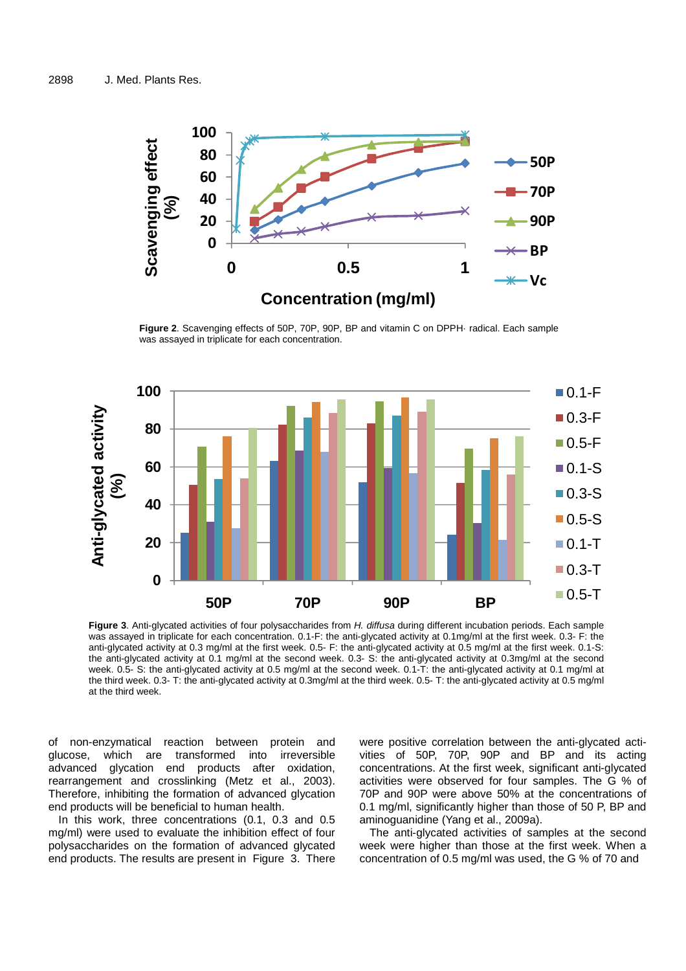

**Figure 2**. Scavenging effects of 50P, 70P, 90P, BP and vitamin C on DPPH· radical. Each sample was assayed in triplicate for each concentration.



**Figure 3**. Anti-glycated activities of four polysaccharides from H. diffusa during different incubation periods. Each sample was assayed in triplicate for each concentration. 0.1-F: the anti-glycated activity at 0.1mg/ml at the first week. 0.3- F: the anti-glycated activity at 0.3 mg/ml at the first week. 0.5- F: the anti-glycated activity at 0.5 mg/ml at the first week. 0.1-S: the anti-glycated activity at 0.1 mg/ml at the second week. 0.3- S: the anti-glycated activity at 0.3mg/ml at the second week. 0.5- S: the anti-glycated activity at 0.5 mg/ml at the second week. 0.1-T: the anti-glycated activity at 0.1 mg/ml at the third week. 0.3- T: the anti-glycated activity at 0.3mg/ml at the third week. 0.5- T: the anti-glycated activity at 0.5 mg/ml at the third week.

of non-enzymatical reaction between protein and glucose, which are transformed into irreversible advanced glycation end products after oxidation, rearrangement and crosslinking (Metz et al., 2003). Therefore, inhibiting the formation of advanced glycation end products will be beneficial to human health.

In this work, three concentrations (0.1, 0.3 and 0.5 mg/ml) were used to evaluate the inhibition effect of four polysaccharides on the formation of advanced glycated end products. The results are present in Figure 3. There were positive correlation between the anti-glycated activities of 50P, 70P, 90P and BP and its acting concentrations. At the first week, significant anti-glycated activities were observed for four samples. The G % of 70P and 90P were above 50% at the concentrations of 0.1 mg/ml, significantly higher than those of 50 P, BP and aminoguanidine (Yang et al., 2009a).

The anti-glycated activities of samples at the second week were higher than those at the first week. When a concentration of 0.5 mg/ml was used, the G % of 70 and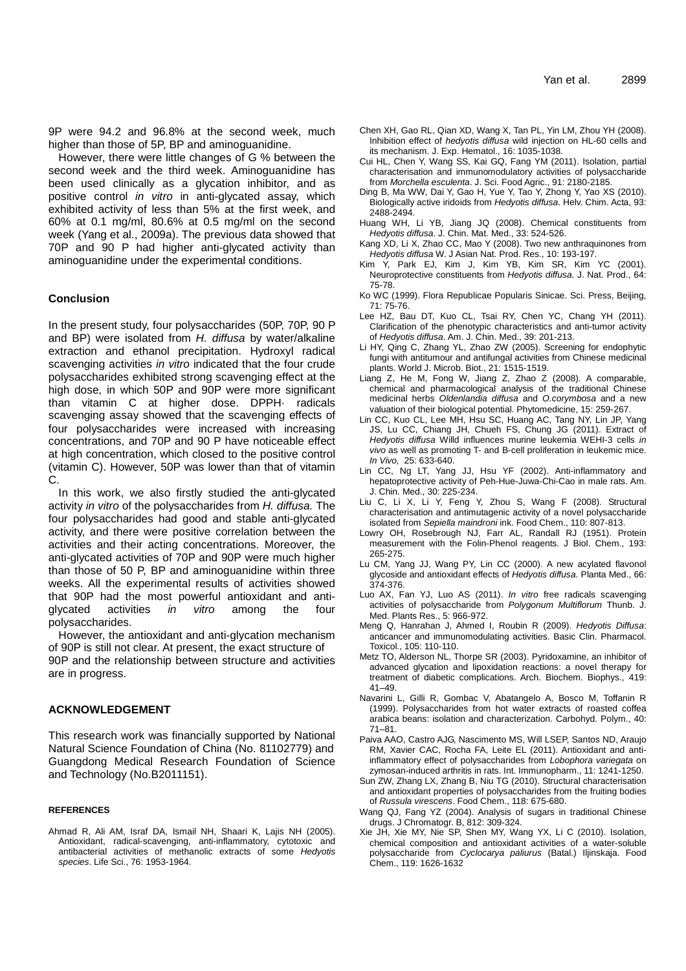9P were 94.2 and 96.8% at the second week, much higher than those of 5P, BP and aminoguanidine.

However, there were little changes of G % between the second week and the third week. Aminoguanidine has been used clinically as a glycation inhibitor, and as positive control in vitro in anti-glycated assay, which exhibited activity of less than 5% at the first week, and 60% at 0.1 mg/ml, 80.6% at 0.5 mg/ml on the second week (Yang et al., 2009a). The previous data showed that 70P and 90 P had higher anti-glycated activity than aminoguanidine under the experimental conditions.

## **Conclusion**

In the present study, four polysaccharides (50P, 70P, 90 P and BP) were isolated from H. diffusa by water/alkaline extraction and ethanol precipitation. Hydroxyl radical scavenging activities in vitro indicated that the four crude polysaccharides exhibited strong scavenging effect at the high dose, in which 50P and 90P were more significant than vitamin C at higher dose. DPPH· radicals scavenging assay showed that the scavenging effects of four polysaccharides were increased with increasing concentrations, and 70P and 90 P have noticeable effect at high concentration, which closed to the positive control (vitamin C). However, 50P was lower than that of vitamin C.

In this work, we also firstly studied the anti-glycated activity in vitro of the polysaccharides from H. diffusa. The four polysaccharides had good and stable anti-glycated activity, and there were positive correlation between the activities and their acting concentrations. Moreover, the anti-glycated activities of 70P and 90P were much higher than those of 50 P, BP and aminoguanidine within three weeks. All the experimental results of activities showed that 90P had the most powerful antioxidant and antiglycated activities in vitro among the four polysaccharides.

However, the antioxidant and anti-glycation mechanism of 90P is still not clear. At present, the exact structure of 90P and the relationship between structure and activities are in progress.

#### **ACKNOWLEDGEMENT**

This research work was financially supported by National Natural Science Foundation of China (No. 81102779) and Guangdong Medical Research Foundation of Science and Technology (No.B2011151).

#### **REFERENCES**

Ahmad R, Ali AM, Israf DA, Ismail NH, Shaari K, Lajis NH (2005). Antioxidant, radical-scavenging, anti-inflammatory, cytotoxic and antibacterial activities of methanolic extracts of some Hedyotis species. Life Sci., 76: 1953-1964.

- Chen XH, Gao RL, Qian XD, Wang X, Tan PL, Yin LM, Zhou YH (2008). Inhibition effect of hedyotis diffusa wild injection on HL-60 cells and its mechanism. J. Exp. Hematol., 16: 1035-1038.
- Cui HL, Chen Y, Wang SS, Kai GQ, Fang YM (2011). Isolation, partial characterisation and immunomodulatory activities of polysaccharide from Morchella esculenta. J. Sci. Food Agric., 91: 2180-2185.
- Ding B, Ma WW, Dai Y, Gao H, Yue Y, Tao Y, Zhong Y, Yao XS (2010). Biologically active iridoids from Hedyotis diffusa. Helv. Chim. Acta, 93: 2488-2494.
- Huang WH, Li YB, Jiang JQ (2008). Chemical constituents from Hedyotis diffusa. J. Chin. Mat. Med., 33: 524-526.
- Kang XD, Li X, Zhao CC, Mao Y (2008). Two new anthraquinones from Hedyotis diffusa W. J Asian Nat. Prod. Res., 10: 193-197.
- Y, Park EJ, Kim J, Kim YB, Kim SR, Kim YC (2001). Neuroprotective constituents from Hedyotis diffusa. J. Nat. Prod., 64: 75-78.
- Ko WC (1999). Flora Republicae Popularis Sinicae. Sci. Press, Beijing, 71: 75-76.
- Lee HZ, Bau DT, Kuo CL, Tsai RY, Chen YC, Chang YH (2011). Clarification of the phenotypic characteristics and anti-tumor activity of Hedyotis diffusa. Am. J. Chin. Med., 39: 201-213.
- Li HY, Qing C, Zhang YL, Zhao ZW (2005). Screening for endophytic fungi with antitumour and antifungal activities from Chinese medicinal plants. World J. Microb. Biot., 21: 1515-1519.
- Liang Z, He M, Fong W, Jiang Z, Zhao Z (2008). A comparable, chemical and pharmacological analysis of the traditional Chinese medicinal herbs Oldenlandia diffusa and O.corymbosa and a new valuation of their biological potential. Phytomedicine, 15: 259-267.
- Lin CC, Kuo CL, Lee MH, Hsu SC, Huang AC, Tang NY, Lin JP, Yang JS, Lu CC, Chiang JH, Chueh FS, Chung JG (2011). Extract of Hedyotis diffusa Willd influences murine leukemia WEHI-3 cells in vivo as well as promoting T- and B-cell proliferation in leukemic mice. In Vivo, 25: 633-640.
- Lin CC, Ng LT, Yang JJ, Hsu YF (2002). Anti-inflammatory and hepatoprotective activity of Peh-Hue-Juwa-Chi-Cao in male rats. Am. J. Chin. Med., 30: 225-234.
- Liu C, Li X, Li Y, Feng Y, Zhou S, Wang F (2008). Structural characterisation and antimutagenic activity of a novel polysaccharide isolated from Sepiella maindroni ink. Food Chem., 110: 807-813.
- Lowry OH, Rosebrough NJ, Farr AL, Randall RJ (1951). Protein measurement with the Folin-Phenol reagents. J Biol. Chem., 193: 265-275.
- Lu CM, Yang JJ, Wang PY, Lin CC (2000). A new acylated flavonol glycoside and antioxidant effects of Hedyotis diffusa. Planta Med., 66: 374-376.
- Luo AX, Fan YJ, Luo AS (2011). In vitro free radicals scavenging activities of polysaccharide from Polygonum Multiflorum Thunb. J. Med. Plants Res., 5: 966-972.
- Meng Q, Hanrahan J, Ahmed I, Roubin R (2009). Hedyotis Diffusa: anticancer and immunomodulating activities. Basic Clin. Pharmacol. Toxicol., 105: 110-110.
- Metz TO, Alderson NL, Thorpe SR (2003). Pyridoxamine, an inhibitor of advanced glycation and lipoxidation reactions: a novel therapy for treatment of diabetic complications. Arch. Biochem. Biophys., 419: 41–49.
- Navarini L, Gilli R, Gombac V, Abatangelo A, Bosco M, Toffanin R (1999). Polysaccharides from hot water extracts of roasted coffea arabica beans: isolation and characterization. Carbohyd. Polym., 40: 71–81.
- Paiva AAO, Castro AJG, Nascimento MS, Will LSEP, Santos ND, Araujo RM, Xavier CAC, Rocha FA, Leite EL (2011). Antioxidant and antiinflammatory effect of polysaccharides from Lobophora variegata on zymosan-induced arthritis in rats. Int. Immunopharm., 11: 1241-1250.
- Sun ZW, Zhang LX, Zhang B, Niu TG (2010). Structural characterisation and antioxidant properties of polysaccharides from the fruiting bodies of Russula virescens. Food Chem., 118: 675-680.
- Wang QJ, Fang YZ (2004). Analysis of sugars in traditional Chinese drugs. J Chromatogr. B, 812: 309-324.
- Xie JH, Xie MY, Nie SP, Shen MY, Wang YX, Li C (2010). Isolation, chemical composition and antioxidant activities of a water-soluble polysaccharide from Cyclocarya paliurus (Batal.) Iljinskaja. Food Chem., 119: 1626-1632